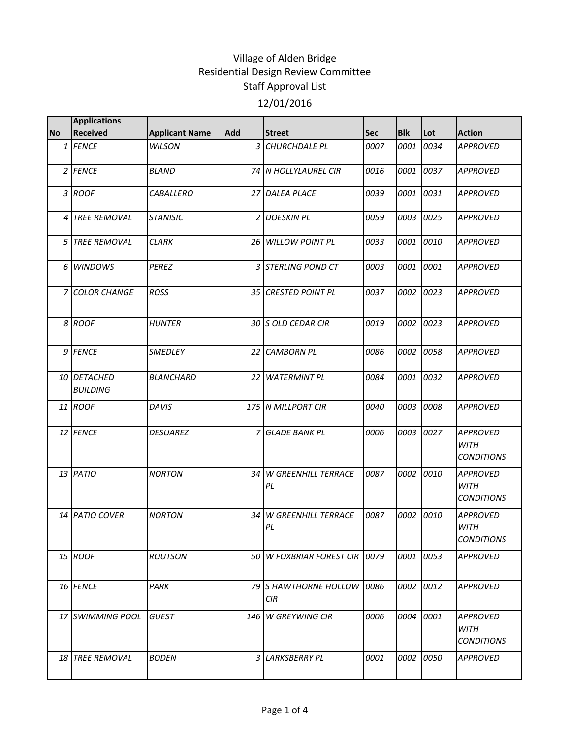|                | <b>Applications</b>            |                       |                |                                          |            |            |           |                                                     |
|----------------|--------------------------------|-----------------------|----------------|------------------------------------------|------------|------------|-----------|-----------------------------------------------------|
| <b>No</b>      | <b>Received</b>                | <b>Applicant Name</b> | Add            | <b>Street</b>                            | <b>Sec</b> | <b>Blk</b> | Lot       | <b>Action</b>                                       |
|                | 1 FENCE                        | <b>WILSON</b>         |                | 3 CHURCHDALE PL                          | 0007       | 0001       | 0034      | <b>APPROVED</b>                                     |
|                | $2$ FENCE                      | <b>BLAND</b>          |                | 74 N HOLLYLAUREL CIR                     | 0016       | 0001       | 0037      | <b>APPROVED</b>                                     |
|                | 3 ROOF                         | <b>CABALLERO</b>      |                | 27 DALEA PLACE                           | 0039       | 0001       | 0031      | <b>APPROVED</b>                                     |
|                | 4 TREE REMOVAL                 | <b>STANISIC</b>       |                | 2 DOESKIN PL                             | 0059       |            | 0003 0025 | <b>APPROVED</b>                                     |
| 5 <sub>1</sub> | <b>TREE REMOVAL</b>            | <b>CLARK</b>          |                | 26 WILLOW POINT PL                       | 0033       | 0001       | 0010      | <b>APPROVED</b>                                     |
|                | 6 WINDOWS                      | <b>PEREZ</b>          |                | 3 STERLING POND CT                       | 0003       | 0001 0001  |           | <b>APPROVED</b>                                     |
|                | 7 COLOR CHANGE                 | ROSS                  |                | 35 CRESTED POINT PL                      | 0037       | 0002       | 0023      | <b>APPROVED</b>                                     |
|                | 8 ROOF                         | <b>HUNTER</b>         |                | 30 S OLD CEDAR CIR                       | 0019       |            | 0002 0023 | <b>APPROVED</b>                                     |
|                | 9 FENCE                        | SMEDLEY               |                | 22 CAMBORN PL                            | 0086       |            | 0002 0058 | <b>APPROVED</b>                                     |
|                | 10 DETACHED<br><b>BUILDING</b> | <b>BLANCHARD</b>      |                | 22 WATERMINT PL                          | 0084       | 0001       | 0032      | <b>APPROVED</b>                                     |
|                | 11 ROOF                        | <b>DAVIS</b>          |                | 175 N MILLPORT CIR                       | 0040       | 0003       | 0008      | <b>APPROVED</b>                                     |
|                | 12 FENCE                       | <b>DESUAREZ</b>       | $\overline{7}$ | <b>GLADE BANK PL</b>                     | 0006       | 0003       | 0027      | <b>APPROVED</b><br><b>WITH</b><br><b>CONDITIONS</b> |
|                | 13 PATIO                       | <b>NORTON</b>         | 34             | <b>W GREENHILL TERRACE</b><br>PL         | 0087       |            | 0002 0010 | <b>APPROVED</b><br><b>WITH</b><br><b>CONDITIONS</b> |
|                | 14 PATIO COVER                 | <b>NORTON</b>         |                | 34 W GREENHILL TERRACE<br>PL             | 0087       | 0002       | 0010      | <b>APPROVED</b><br><b>WITH</b><br><b>CONDITIONS</b> |
|                | 15 ROOF                        | <b>ROUTSON</b>        |                | 50 W FOXBRIAR FOREST CIR 0079            |            |            | 0001 0053 | <b>APPROVED</b>                                     |
|                | 16 FENCE                       | PARK                  |                | 79 S HAWTHORNE HOLLOW 0086<br><b>CIR</b> |            |            | 0002 0012 | <b>APPROVED</b>                                     |
|                | 17 SWIMMING POOL               | <b>GUEST</b>          |                | 146 W GREYWING CIR                       | 0006       | 0004       | 0001      | APPROVED<br><b>WITH</b><br><b>CONDITIONS</b>        |
|                | 18 TREE REMOVAL                | <b>BODEN</b>          |                | 3 LARKSBERRY PL                          | 0001       | 0002 0050  |           | <b>APPROVED</b>                                     |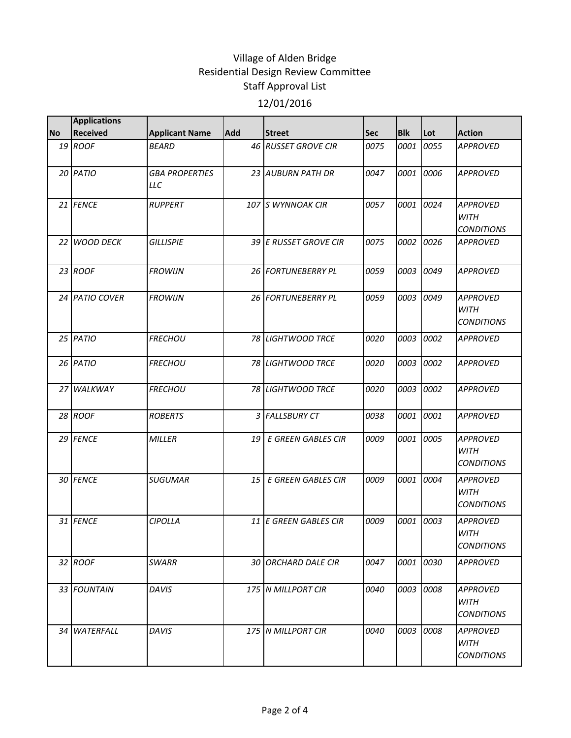|           | <b>Applications</b> |                              |            |                              |      |            |           |                                                     |
|-----------|---------------------|------------------------------|------------|------------------------------|------|------------|-----------|-----------------------------------------------------|
| <b>No</b> | <b>Received</b>     | <b>Applicant Name</b>        | <b>Add</b> | <b>Street</b>                | Sec  | <b>Blk</b> | Lot       | <b>Action</b>                                       |
|           | 19 ROOF             | <b>BEARD</b>                 |            | 46 RUSSET GROVE CIR          | 0075 | 0001       | 0055      | <b>APPROVED</b>                                     |
|           | 20 PATIO            | <b>GBA PROPERTIES</b><br>LLC |            | 23 AUBURN PATH DR            | 0047 | 0001       | 0006      | <b>APPROVED</b>                                     |
|           | 21 FENCE            | <b>RUPPERT</b>               |            | 107 S WYNNOAK CIR            | 0057 | 0001       | 0024      | <b>APPROVED</b><br><b>WITH</b><br><b>CONDITIONS</b> |
|           | 22 WOOD DECK        | <b>GILLISPIE</b>             |            | 39 E RUSSET GROVE CIR        | 0075 | 0002       | 0026      | <b>APPROVED</b>                                     |
|           | 23 ROOF             | <b>FROWIJN</b>               |            | 26 FORTUNEBERRY PL           | 0059 | 0003       | 0049      | <b>APPROVED</b>                                     |
|           | 24 PATIO COVER      | <b>FROWIJN</b>               |            | 26 FORTUNEBERRY PL           | 0059 | 0003       | 0049      | <b>APPROVED</b><br><b>WITH</b><br><b>CONDITIONS</b> |
|           | $25$ PATIO          | <b>FRECHOU</b>               |            | 78 LIGHTWOOD TRCE            | 0020 | 0003       | 0002      | <b>APPROVED</b>                                     |
|           | 26 PATIO            | <b>FRECHOU</b>               |            | <b>78 LIGHTWOOD TRCE</b>     | 0020 | 0003       | 0002      | <b>APPROVED</b>                                     |
|           | 27 WALKWAY          | <b>FRECHOU</b>               |            | 78 LIGHTWOOD TRCE            | 0020 | 0003       | 0002      | <b>APPROVED</b>                                     |
|           | 28 ROOF             | <b>ROBERTS</b>               |            | 3 FALLSBURY CT               | 0038 | 0001       | 0001      | <b>APPROVED</b>                                     |
|           | 29 FENCE            | <b>MILLER</b>                | 19         | <b>E GREEN GABLES CIR</b>    | 0009 | 0001       | 0005      | <b>APPROVED</b><br><b>WITH</b><br><b>CONDITIONS</b> |
|           | 30 FENCE            | <b>SUGUMAR</b>               | 15         | E GREEN GABLES CIR           | 0009 | 0001       | 0004      | <b>APPROVED</b><br><b>WITH</b><br><b>CONDITIONS</b> |
|           | 31 FENCE            | <b>CIPOLLA</b>               |            | <b>11 E GREEN GABLES CIR</b> | 0009 | 0001       | 0003      | <b>APPROVED</b><br><b>WITH</b><br><b>CONDITIONS</b> |
|           | 32 ROOF             | <b>SWARR</b>                 |            | 30 ORCHARD DALE CIR          | 0047 |            | 0001 0030 | <b>APPROVED</b>                                     |
|           | 33 FOUNTAIN         | DAVIS                        |            | 175 N MILLPORT CIR           | 0040 | 0003       | 0008      | <b>APPROVED</b><br><b>WITH</b><br><b>CONDITIONS</b> |
|           | 34 WATERFALL        | DAVIS                        |            | 175 N MILLPORT CIR           | 0040 | 0003       | 0008      | APPROVED<br><b>WITH</b><br><b>CONDITIONS</b>        |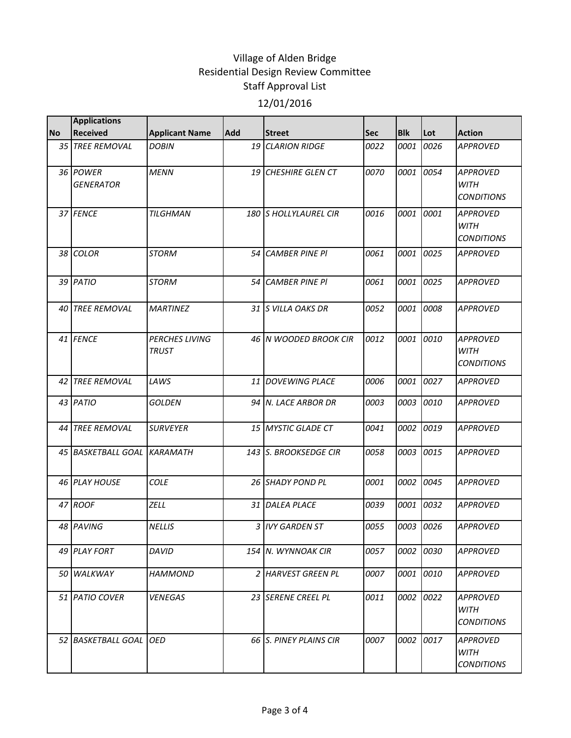|           | <b>Applications</b>          |                                       |            |                        |      |            |           |                                                     |
|-----------|------------------------------|---------------------------------------|------------|------------------------|------|------------|-----------|-----------------------------------------------------|
| <b>No</b> | <b>Received</b>              | <b>Applicant Name</b>                 | <b>Add</b> | <b>Street</b>          | Sec  | <b>Blk</b> | Lot       | <b>Action</b>                                       |
|           | 35 TREE REMOVAL              | <b>DOBIN</b>                          |            | 19 CLARION RIDGE       | 0022 | 0001       | 0026      | <b>APPROVED</b>                                     |
|           | 36 POWER<br><b>GENERATOR</b> | <b>MENN</b>                           |            | 19 CHESHIRE GLEN CT    | 0070 | 0001       | 0054      | <b>APPROVED</b><br><b>WITH</b><br><b>CONDITIONS</b> |
|           | 37 FENCE                     | TILGHMAN                              |            | 180 S HOLLYLAUREL CIR  | 0016 | 0001       | 0001      | <b>APPROVED</b><br>WITH<br><b>CONDITIONS</b>        |
|           | 38 COLOR                     | STORM                                 | 54         | <b>CAMBER PINE PI</b>  | 0061 | 0001       | 0025      | <b>APPROVED</b>                                     |
|           | 39 PATIO                     | <b>STORM</b>                          | 54         | <b>CAMBER PINE PI</b>  | 0061 | 0001       | 0025      | <b>APPROVED</b>                                     |
|           | 40 TREE REMOVAL              | <b>MARTINEZ</b>                       |            | 31 S VILLA OAKS DR     | 0052 | 0001       | 0008      | <b>APPROVED</b>                                     |
|           | 41 FENCE                     | <b>PERCHES LIVING</b><br><b>TRUST</b> |            | 46 N WOODED BROOK CIR  | 0012 |            | 0001 0010 | <b>APPROVED</b><br><b>WITH</b><br><b>CONDITIONS</b> |
| 42        | <b>TREE REMOVAL</b>          | LAWS                                  | 11         | <b>DOVEWING PLACE</b>  | 0006 | 0001       | 0027      | <b>APPROVED</b>                                     |
|           | 43 PATIO                     | <b>GOLDEN</b>                         |            | 94 N. LACE ARBOR DR    | 0003 |            | 0003 0010 | <b>APPROVED</b>                                     |
| 44        | <b>TREE REMOVAL</b>          | <b>SURVEYER</b>                       |            | 15 MYSTIC GLADE CT     | 0041 | 0002       | 0019      | <b>APPROVED</b>                                     |
|           | 45 BASKETBALL GOAL KARAMATH  |                                       |            | 143 S. BROOKSEDGE CIR  | 0058 | 0003 0015  |           | <b>APPROVED</b>                                     |
|           | <b>46 PLAY HOUSE</b>         | <b>COLE</b>                           |            | 26 SHADY POND PL       | 0001 | 0002       | 0045      | <b>APPROVED</b>                                     |
|           | 47 ROOF                      | ZELL                                  |            | 31 DALEA PLACE         | 0039 | 0001       | 0032      | <b>APPROVED</b>                                     |
|           | 48 PAVING                    | <b>NELLIS</b>                         |            | 3 IVY GARDEN ST        | 0055 | 0003       | 0026      | <b>APPROVED</b>                                     |
|           | 49 IPLAY FORT                | DAVID                                 |            | 154   N. WYNNOAK CIR   | 0057 |            | 0002 0030 | <b>APPROVED</b>                                     |
|           | 50 WALKWAY                   | <b>HAMMOND</b>                        |            | 2 HARVEST GREEN PL     | 0007 |            | 0001 0010 | <b>APPROVED</b>                                     |
|           | 51 PATIO COVER               | <b>VENEGAS</b>                        |            | 23 SERENE CREEL PL     | 0011 |            | 0002 0022 | <b>APPROVED</b><br><b>WITH</b><br><b>CONDITIONS</b> |
|           | 52 BASKETBALL GOAL OED       |                                       |            | 66 S. PINEY PLAINS CIR | 0007 | 0002       | 0017      | <b>APPROVED</b><br><b>WITH</b><br><b>CONDITIONS</b> |